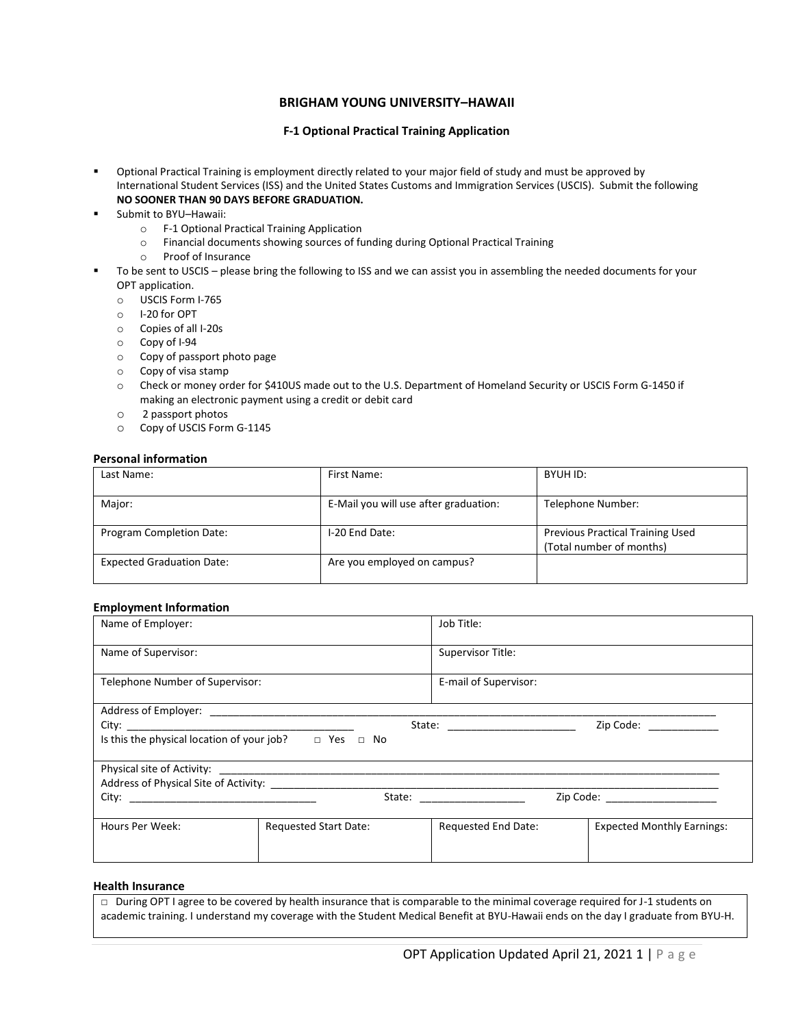# **BRIGHAM YOUNG UNIVERSITY–HAWAII**

### **F-1 Optional Practical Training Application**

- Optional Practical Training is employment directly related to your major field of study and must be approved by International Student Services (ISS) and the United States Customs and Immigration Services (USCIS). Submit the following **NO SOONER THAN 90 DAYS BEFORE GRADUATION.**
- Submit to BYU-Hawaii:
	- o F-1 Optional Practical Training Application
	- o Financial documents showing sources of funding during Optional Practical Training
	- o Proof of Insurance
- To be sent to USCIS please bring the following to ISS and we can assist you in assembling the needed documents for your OPT application.
	- o USCIS Form I-765
	- o I-20 for OPT
	- o Copies of all I-20s
	- o Copy of I-94
	- o Copy of passport photo page
	- o Copy of visa stamp
	- o Check or money order for \$410US made out to the U.S. Department of Homeland Security or USCIS Form G-1450 if making an electronic payment using a credit or debit card
	- o 2 passport photos
	- o Copy of USCIS Form G-1145

#### **Personal information**

| Last Name:                       | First Name:                           | BYUH ID:                                                            |
|----------------------------------|---------------------------------------|---------------------------------------------------------------------|
| Major:                           | E-Mail you will use after graduation: | Telephone Number:                                                   |
| Program Completion Date:         | I-20 End Date:                        | <b>Previous Practical Training Used</b><br>(Total number of months) |
| <b>Expected Graduation Date:</b> | Are you employed on campus?           |                                                                     |

#### **Employment Information**

| Name of Employer:                          |                              | Job Title:                       |                                   |  |  |  |
|--------------------------------------------|------------------------------|----------------------------------|-----------------------------------|--|--|--|
| Name of Supervisor:                        |                              | Supervisor Title:                |                                   |  |  |  |
| Telephone Number of Supervisor:            |                              | E-mail of Supervisor:            |                                   |  |  |  |
|                                            |                              |                                  |                                   |  |  |  |
|                                            |                              | State: _________________________ | Zip Code:                         |  |  |  |
| Is this the physical location of your job? | D Yes D No                   |                                  |                                   |  |  |  |
|                                            |                              |                                  |                                   |  |  |  |
|                                            |                              |                                  |                                   |  |  |  |
|                                            |                              | State: ___________________       | Zip Code: _____________________   |  |  |  |
| Hours Per Week:                            | <b>Requested Start Date:</b> | Requested End Date:              | <b>Expected Monthly Earnings:</b> |  |  |  |
|                                            |                              |                                  |                                   |  |  |  |

#### **Health Insurance**

□ During OPT I agree to be covered by health insurance that is comparable to the minimal coverage required for J-1 students on academic training. I understand my coverage with the Student Medical Benefit at BYU-Hawaii ends on the day I graduate from BYU-H.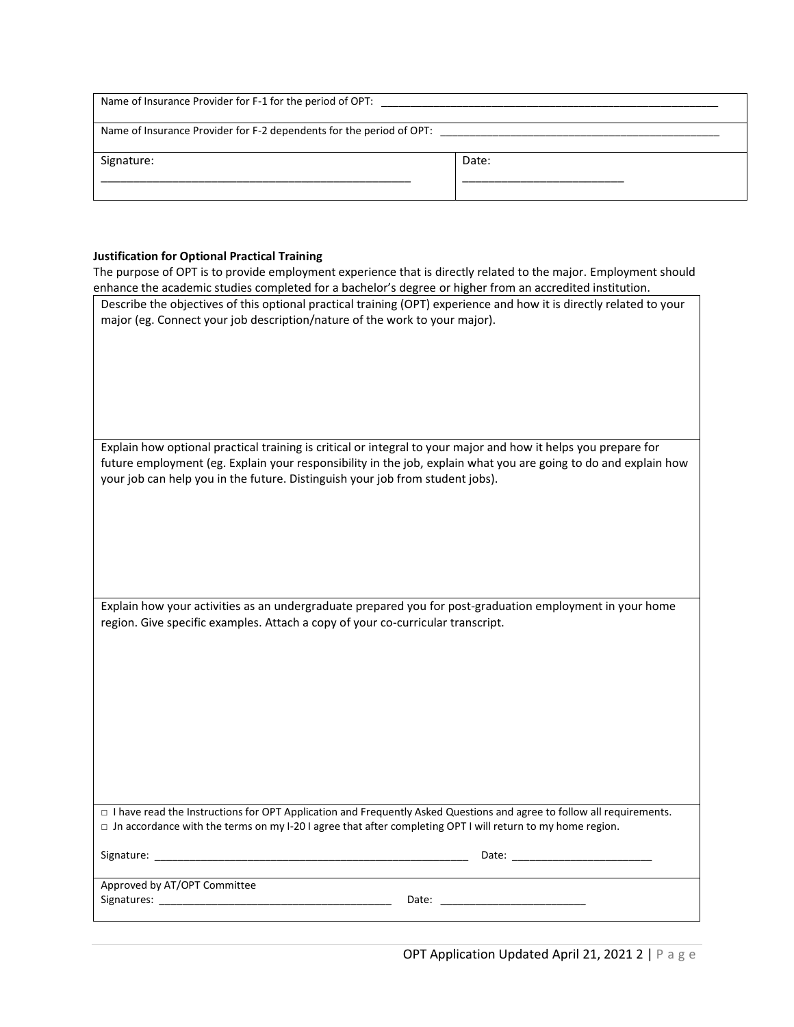| Name of Insurance Provider for F-1 for the period of OPT:            |       |  |
|----------------------------------------------------------------------|-------|--|
| Name of Insurance Provider for F-2 dependents for the period of OPT: |       |  |
| Signature:                                                           | Date: |  |
|                                                                      |       |  |

# **Justification for Optional Practical Training**

| Justification for Optional Practical Training                                                                           |
|-------------------------------------------------------------------------------------------------------------------------|
| The purpose of OPT is to provide employment experience that is directly related to the major. Employment should         |
| enhance the academic studies completed for a bachelor's degree or higher from an accredited institution.                |
| Describe the objectives of this optional practical training (OPT) experience and how it is directly related to your     |
| major (eg. Connect your job description/nature of the work to your major).                                              |
|                                                                                                                         |
|                                                                                                                         |
|                                                                                                                         |
|                                                                                                                         |
|                                                                                                                         |
|                                                                                                                         |
|                                                                                                                         |
| Explain how optional practical training is critical or integral to your major and how it helps you prepare for          |
| future employment (eg. Explain your responsibility in the job, explain what you are going to do and explain how         |
|                                                                                                                         |
| your job can help you in the future. Distinguish your job from student jobs).                                           |
|                                                                                                                         |
|                                                                                                                         |
|                                                                                                                         |
|                                                                                                                         |
|                                                                                                                         |
|                                                                                                                         |
|                                                                                                                         |
| Explain how your activities as an undergraduate prepared you for post-graduation employment in your home                |
| region. Give specific examples. Attach a copy of your co-curricular transcript.                                         |
|                                                                                                                         |
|                                                                                                                         |
|                                                                                                                         |
|                                                                                                                         |
|                                                                                                                         |
|                                                                                                                         |
|                                                                                                                         |
|                                                                                                                         |
|                                                                                                                         |
|                                                                                                                         |
|                                                                                                                         |
|                                                                                                                         |
| □ I have read the Instructions for OPT Application and Frequently Asked Questions and agree to follow all requirements. |
| $\Box$ Jn accordance with the terms on my I-20 I agree that after completing OPT I will return to my home region.       |
|                                                                                                                         |
|                                                                                                                         |
|                                                                                                                         |
|                                                                                                                         |
| Approved by AT/OPT Committee                                                                                            |
|                                                                                                                         |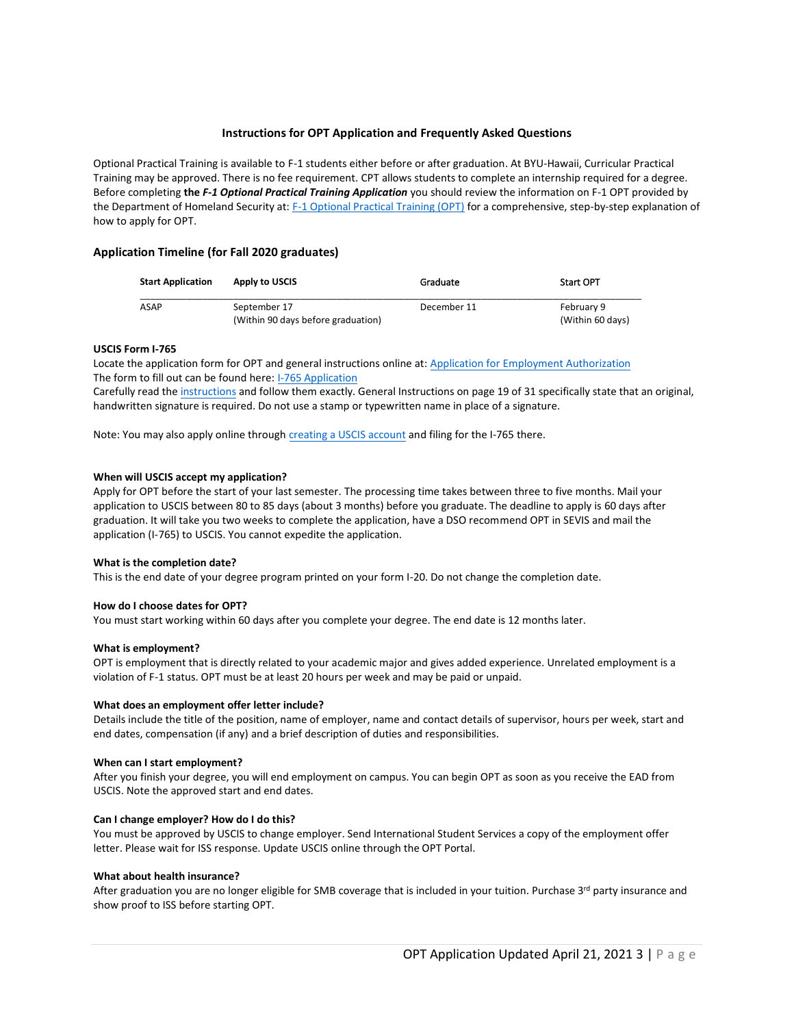## **Instructions for OPT Application and Frequently Asked Questions**

Optional Practical Training is available to F-1 students either before or after graduation. At BYU-Hawaii, Curricular Practical Training may be approved. There is no fee requirement. CPT allows students to complete an internship required for a degree. Before completing **the** *F-1 Optional Practical Training Application* you should review the information on F-1 OPT provided by the Department of Homeland Security at[: F-1 Optional Practical Training \(OPT\)](http://studyinthestates.dhs.gov/sevis-help-hub/student-records/fm-student-employment/f-1-optional-practical-training-opt) for a comprehensive, step-by-step explanation of how to apply for OPT.

## **Application Timeline (for Fall 2020 graduates)**

| <b>Start Application</b> | Apply to USCIS                                     | Graduate    | <b>Start OPT</b>               |
|--------------------------|----------------------------------------------------|-------------|--------------------------------|
| <b>ASAP</b>              | September 17<br>(Within 90 days before graduation) | December 11 | February 9<br>(Within 60 days) |

## **USCIS Form I-765**

Locate the application form for OPT and general instructions online at[: Application for Employment Authorization](https://www.uscis.gov/i-765)  The form to fill out can be found here: [I-765 Application](https://www.uscis.gov/sites/default/files/document/forms/i-765.pdf) 

Carefully read th[e instructions](https://www.uscis.gov/sites/default/files/document/forms/i-765instr.pdf) and follow them exactly. General Instructions on page 19 of 31 specifically state that an original, handwritten signature is required. Do not use a stamp or typewritten name in place of a signature.

Note: You may also apply online through [creating a USCIS account](https://myaccount.uscis.gov/users/sign_up) and filing for the I-765 there.

#### **When will USCIS accept my application?**

Apply for OPT before the start of your last semester. The processing time takes between three to five months. Mail your application to USCIS between 80 to 85 days (about 3 months) before you graduate. The deadline to apply is 60 days after graduation. It will take you two weeks to complete the application, have a DSO recommend OPT in SEVIS and mail the application (I-765) to USCIS. You cannot expedite the application.

#### **What is the completion date?**

This is the end date of your degree program printed on your form I-20. Do not change the completion date.

#### **How do I choose dates for OPT?**

You must start working within 60 days after you complete your degree. The end date is 12 months later.

#### **What is employment?**

OPT is employment that is directly related to your academic major and gives added experience. Unrelated employment is a violation of F-1 status. OPT must be at least 20 hours per week and may be paid or unpaid.

#### **What does an employment offer letter include?**

Details include the title of the position, name of employer, name and contact details of supervisor, hours per week, start and end dates, compensation (if any) and a brief description of duties and responsibilities.

#### **When can I start employment?**

After you finish your degree, you will end employment on campus. You can begin OPT as soon as you receive the EAD from USCIS. Note the approved start and end dates.

#### **Can I change employer? How do I do this?**

You must be approved by USCIS to change employer. Send International Student Services a copy of the employment offer letter. Please wait for ISS response. Update USCIS online through the OPT Portal.

#### **What about health insurance?**

After graduation you are no longer eligible for SMB coverage that is included in your tuition. Purchase 3<sup>rd</sup> party insurance and show proof to ISS before starting OPT.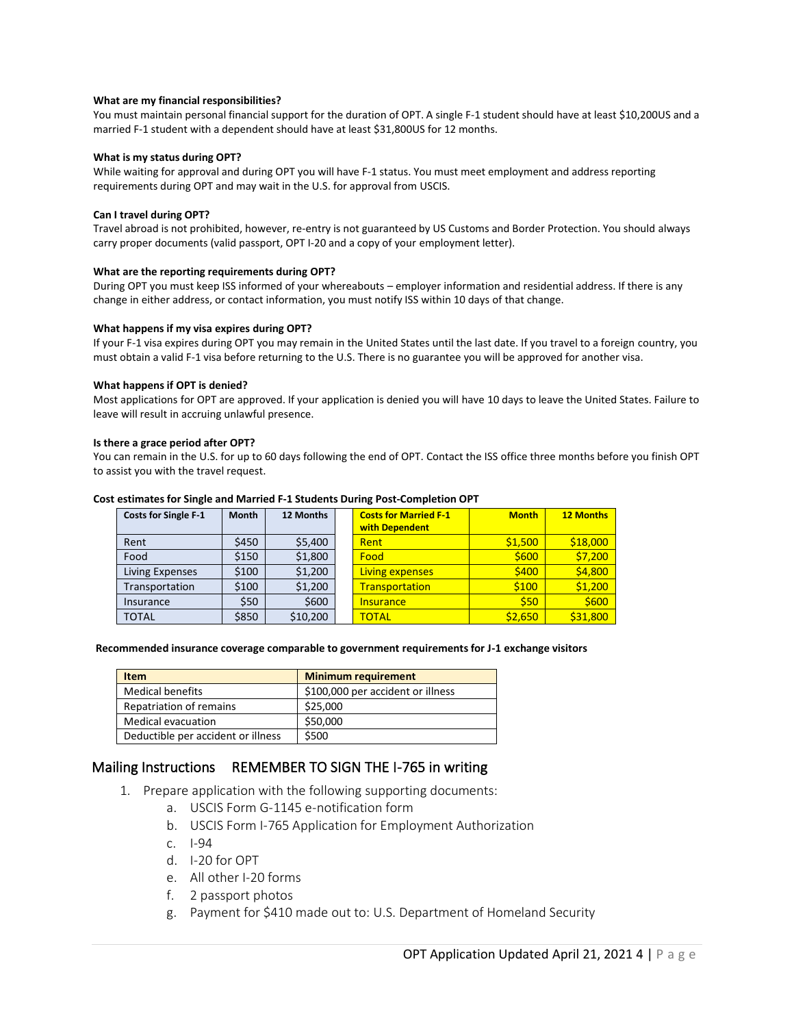### **What are my financial responsibilities?**

You must maintain personal financial support for the duration of OPT. A single F-1 student should have at least \$10,200US and a married F-1 student with a dependent should have at least \$31,800US for 12 months.

#### **What is my status during OPT?**

While waiting for approval and during OPT you will have F-1 status. You must meet employment and address reporting requirements during OPT and may wait in the U.S. for approval from USCIS.

#### **Can I travel during OPT?**

Travel abroad is not prohibited, however, re-entry is not guaranteed by US Customs and Border Protection. You should always carry proper documents (valid passport, OPT I-20 and a copy of your employment letter).

#### **What are the reporting requirements during OPT?**

During OPT you must keep ISS informed of your whereabouts – employer information and residential address. If there is any change in either address, or contact information, you must notify ISS within 10 days of that change.

#### **What happens if my visa expires during OPT?**

If your F-1 visa expires during OPT you may remain in the United States until the last date. If you travel to a foreign country, you must obtain a valid F-1 visa before returning to the U.S. There is no guarantee you will be approved for another visa.

#### **What happens if OPT is denied?**

Most applications for OPT are approved. If your application is denied you will have 10 days to leave the United States. Failure to leave will result in accruing unlawful presence.

#### **Is there a grace period after OPT?**

You can remain in the U.S. for up to 60 days following the end of OPT. Contact the ISS office three months before you finish OPT to assist you with the travel request.

#### **Cost estimates for Single and Married F-1 Students During Post-Completion OPT**

| <b>Costs for Single F-1</b> | <b>Month</b> | 12 Months | <b>Costs for Married F-1</b> | <b>Month</b> | <b>12 Months</b> |
|-----------------------------|--------------|-----------|------------------------------|--------------|------------------|
|                             |              |           | with Dependent               |              |                  |
| Rent                        | \$450        | \$5,400   | Rent                         | \$1,500      | \$18,000         |
| Food                        | \$150        | \$1,800   | Food                         | \$600        | \$7,200          |
| Living Expenses             | \$100        | \$1,200   | Living expenses              | \$400        | \$4,800          |
| Transportation              | \$100        | \$1,200   | Transportation               | \$100        | \$1,200          |
| Insurance                   | \$50         | \$600     | <b>Insurance</b>             | \$50         | \$600            |
| <b>TOTAL</b>                | \$850        | \$10,200  | <b>TOTAL</b>                 | \$2.650      | \$31,800         |

#### **Recommended insurance coverage comparable to government requirements for J-1 exchange visitors**

| <b>Item</b>                        | <b>Minimum requirement</b>        |
|------------------------------------|-----------------------------------|
| <b>Medical benefits</b>            | \$100,000 per accident or illness |
| Repatriation of remains            | \$25,000                          |
| <b>Medical evacuation</b>          | \$50,000                          |
| Deductible per accident or illness | \$500                             |

# Mailing Instructions REMEMBER TO SIGN THE I-765 in writing

- 1. Prepare application with the following supporting documents:
	- a. USCIS Form G-1145 e-notification form
	- b. USCIS Form I-765 Application for Employment Authorization
	- c. I-94
	- d. I-20 for OPT
	- e. All other I-20 forms
	- f. 2 passport photos
	- g. Payment for \$410 made out to: U.S. Department of Homeland Security